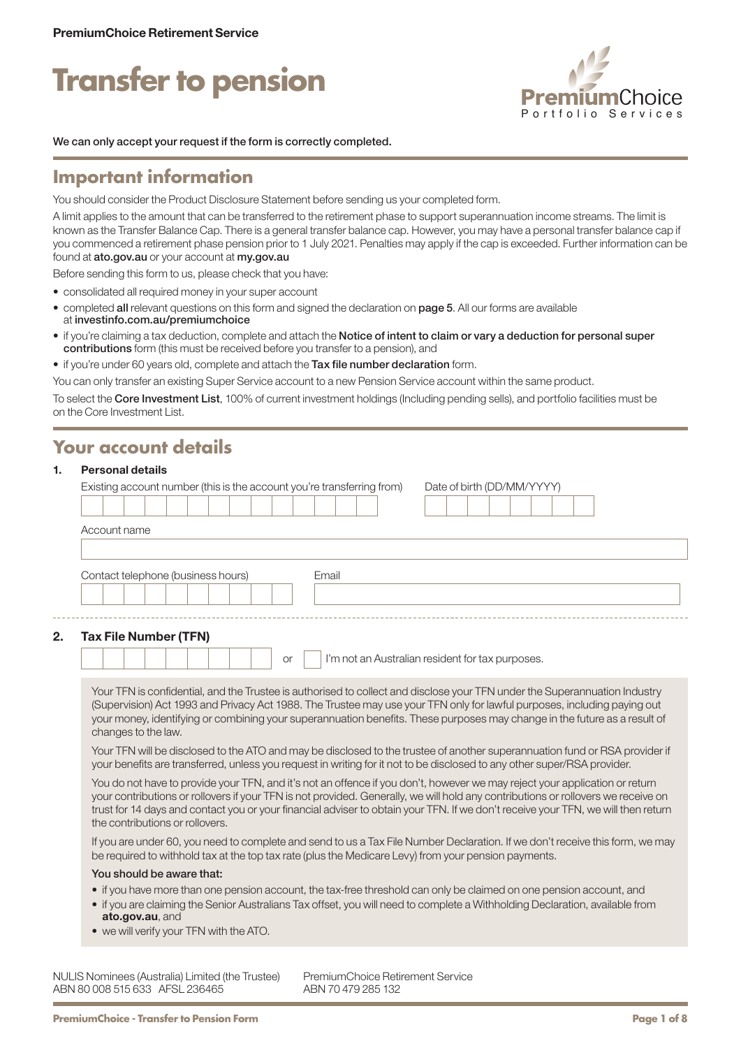



We can only accept your request if the form is correctly completed.

## **Important information**

You should consider the Product Disclosure Statement before sending us your completed form.

A limit applies to the amount that can be transferred to the retirement phase to support superannuation income streams. The limit is known as the Transfer Balance Cap. There is a general transfer balance cap. However, you may have a personal transfer balance cap if you commenced a retirement phase pension prior to 1 July 2021. Penalties may apply if the cap is exceeded. Further information can be found at ato.gov.au or your account at my.gov.au

Before sending this form to us, please check that you have:

- consolidated all required money in your super account
- completed all relevant questions on this form and signed the declaration on page 5. All our forms are available at [investinfo.com.au/premiumchoice](http://investinfo.com.au/premiumchoice)
- if you're claiming a tax deduction, complete and attach the Notice of intent to claim or vary a deduction for personal super contributions form (this must be received before you transfer to a pension), and
- if you're under 60 years old, complete and attach the Tax file number declaration form.

You can only transfer an existing Super Service account to a new Pension Service account within the same product.

To select the Core Investment List, 100% of current investment holdings (Including pending sells), and portfolio facilities must be on the Core Investment List.

## **Your account details**

| Account name                    |  |                                    |  |    |       |                                                                                                                                                                                                                                                                                                                                                                                                       |  |  |  |  |  |
|---------------------------------|--|------------------------------------|--|----|-------|-------------------------------------------------------------------------------------------------------------------------------------------------------------------------------------------------------------------------------------------------------------------------------------------------------------------------------------------------------------------------------------------------------|--|--|--|--|--|
|                                 |  |                                    |  |    |       |                                                                                                                                                                                                                                                                                                                                                                                                       |  |  |  |  |  |
|                                 |  | Contact telephone (business hours) |  |    | Email |                                                                                                                                                                                                                                                                                                                                                                                                       |  |  |  |  |  |
|                                 |  |                                    |  |    |       |                                                                                                                                                                                                                                                                                                                                                                                                       |  |  |  |  |  |
|                                 |  |                                    |  |    |       |                                                                                                                                                                                                                                                                                                                                                                                                       |  |  |  |  |  |
|                                 |  |                                    |  |    |       |                                                                                                                                                                                                                                                                                                                                                                                                       |  |  |  |  |  |
| <b>Tax File Number (TFN)</b>    |  |                                    |  |    |       |                                                                                                                                                                                                                                                                                                                                                                                                       |  |  |  |  |  |
|                                 |  |                                    |  | or |       | I'm not an Australian resident for tax purposes.                                                                                                                                                                                                                                                                                                                                                      |  |  |  |  |  |
|                                 |  |                                    |  |    |       |                                                                                                                                                                                                                                                                                                                                                                                                       |  |  |  |  |  |
|                                 |  |                                    |  |    |       | Your TFN is confidential, and the Trustee is authorised to collect and disclose your TFN under the Superannuation Industry<br>(Supervision) Act 1993 and Privacy Act 1988. The Trustee may use your TFN only for lawful purposes, including paying out                                                                                                                                                |  |  |  |  |  |
| changes to the law.             |  |                                    |  |    |       | your money, identifying or combining your superannuation benefits. These purposes may change in the future as a result of<br>Your TFN will be disclosed to the ATO and may be disclosed to the trustee of another superannuation fund or RSA provider if<br>your benefits are transferred, unless you request in writing for it not to be disclosed to any other super/RSA provider.                  |  |  |  |  |  |
| the contributions or rollovers. |  |                                    |  |    |       | You do not have to provide your TFN, and it's not an offence if you don't, however we may reject your application or return<br>your contributions or rollovers if your TFN is not provided. Generally, we will hold any contributions or rollovers we receive on<br>trust for 14 days and contact you or your financial adviser to obtain your TFN. If we don't receive your TFN, we will then return |  |  |  |  |  |
|                                 |  |                                    |  |    |       | If you are under 60, you need to complete and send to us a Tax File Number Declaration. If we don't receive this form, we may<br>be required to withhold tax at the top tax rate (plus the Medicare Levy) from your pension payments.                                                                                                                                                                 |  |  |  |  |  |
| You should be aware that:       |  |                                    |  |    |       |                                                                                                                                                                                                                                                                                                                                                                                                       |  |  |  |  |  |
| ato.gov.au, and                 |  |                                    |  |    |       | • if you have more than one pension account, the tax-free threshold can only be claimed on one pension account, and<br>• if you are claiming the Senior Australians Tax offset, you will need to complete a Withholding Declaration, available from                                                                                                                                                   |  |  |  |  |  |

PremiumChoice Retirement Service

ABN 70 479 285 132

ABN 80 008 515 633 AFSL 236465

NULIS Nominees (Australia) Limited (the Trustee)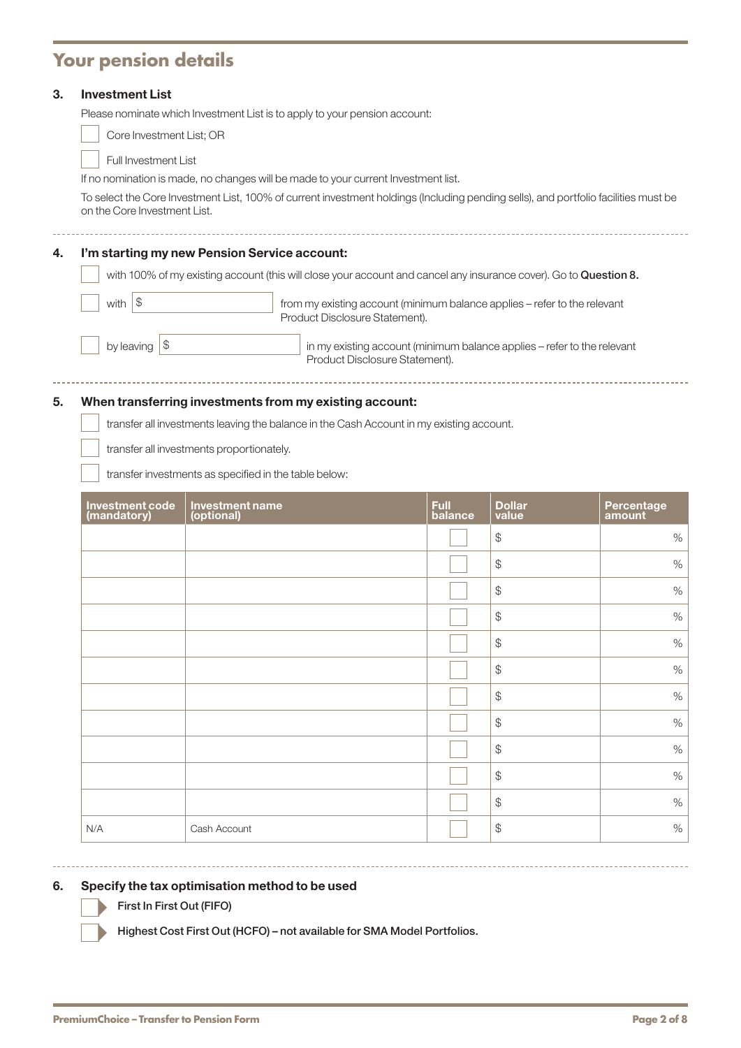## **Your pension details**

|    | ur pension aciuns                                                                                                                                                   |                                                                                                    |                                                                                                                   |                        |                                               |                      |  |  |  |  |
|----|---------------------------------------------------------------------------------------------------------------------------------------------------------------------|----------------------------------------------------------------------------------------------------|-------------------------------------------------------------------------------------------------------------------|------------------------|-----------------------------------------------|----------------------|--|--|--|--|
| 3. | <b>Investment List</b>                                                                                                                                              |                                                                                                    |                                                                                                                   |                        |                                               |                      |  |  |  |  |
|    | Please nominate which Investment List is to apply to your pension account:                                                                                          |                                                                                                    |                                                                                                                   |                        |                                               |                      |  |  |  |  |
|    | Core Investment List; OR                                                                                                                                            |                                                                                                    |                                                                                                                   |                        |                                               |                      |  |  |  |  |
|    | Full Investment List                                                                                                                                                |                                                                                                    |                                                                                                                   |                        |                                               |                      |  |  |  |  |
|    |                                                                                                                                                                     |                                                                                                    | If no nomination is made, no changes will be made to your current Investment list.                                |                        |                                               |                      |  |  |  |  |
|    | To select the Core Investment List, 100% of current investment holdings (Including pending sells), and portfolio facilities must be<br>on the Core Investment List. |                                                                                                    |                                                                                                                   |                        |                                               |                      |  |  |  |  |
| 4. | I'm starting my new Pension Service account:                                                                                                                        |                                                                                                    |                                                                                                                   |                        |                                               |                      |  |  |  |  |
|    |                                                                                                                                                                     |                                                                                                    | with 100% of my existing account (this will close your account and cancel any insurance cover). Go to Question 8. |                        |                                               |                      |  |  |  |  |
|    | with $ $ \$                                                                                                                                                         |                                                                                                    | from my existing account (minimum balance applies - refer to the relevant<br>Product Disclosure Statement).       |                        |                                               |                      |  |  |  |  |
|    | $\frac{1}{2}$<br>by leaving                                                                                                                                         |                                                                                                    | in my existing account (minimum balance applies - refer to the relevant<br>Product Disclosure Statement).         |                        |                                               |                      |  |  |  |  |
|    |                                                                                                                                                                     | transfer all investments proportionately.<br>transfer investments as specified in the table below: | transfer all investments leaving the balance in the Cash Account in my existing account.                          |                        |                                               |                      |  |  |  |  |
|    | Investment code<br>(mandatory)                                                                                                                                      | <b>Investment name</b><br>(optional)                                                               |                                                                                                                   | <b>Full</b><br>balance | <b>Dollar</b><br>value                        | Percentage<br>amount |  |  |  |  |
|    |                                                                                                                                                                     |                                                                                                    |                                                                                                                   |                        | \$                                            | $\%$                 |  |  |  |  |
|    |                                                                                                                                                                     |                                                                                                    |                                                                                                                   |                        | \$                                            | $\%$                 |  |  |  |  |
|    |                                                                                                                                                                     |                                                                                                    |                                                                                                                   |                        | \$                                            | $\%$                 |  |  |  |  |
|    |                                                                                                                                                                     |                                                                                                    |                                                                                                                   |                        |                                               |                      |  |  |  |  |
|    |                                                                                                                                                                     |                                                                                                    |                                                                                                                   |                        | \$                                            | %                    |  |  |  |  |
|    |                                                                                                                                                                     |                                                                                                    |                                                                                                                   |                        | \$                                            | $\%$                 |  |  |  |  |
|    |                                                                                                                                                                     |                                                                                                    |                                                                                                                   |                        | \$                                            | %                    |  |  |  |  |
|    |                                                                                                                                                                     |                                                                                                    |                                                                                                                   |                        | $\, \, \raisebox{12pt}{$\scriptstyle \circ$}$ | $\%$                 |  |  |  |  |
|    |                                                                                                                                                                     |                                                                                                    |                                                                                                                   |                        |                                               |                      |  |  |  |  |

N/A cash Account the control of the control of the control of the control of the control of the control of the control of the control of the control of the control of the control of the control of the control of the contro

#### 6. Specify the tax optimisation method to be used

First In First Out (FIFO)

----------

Highest Cost First Out (HCFO) – not available for SMA Model Portfolios.

 $\textcircled{S}$  %

 $\textcircled{S}$  %

 $\textcircled{S}$  %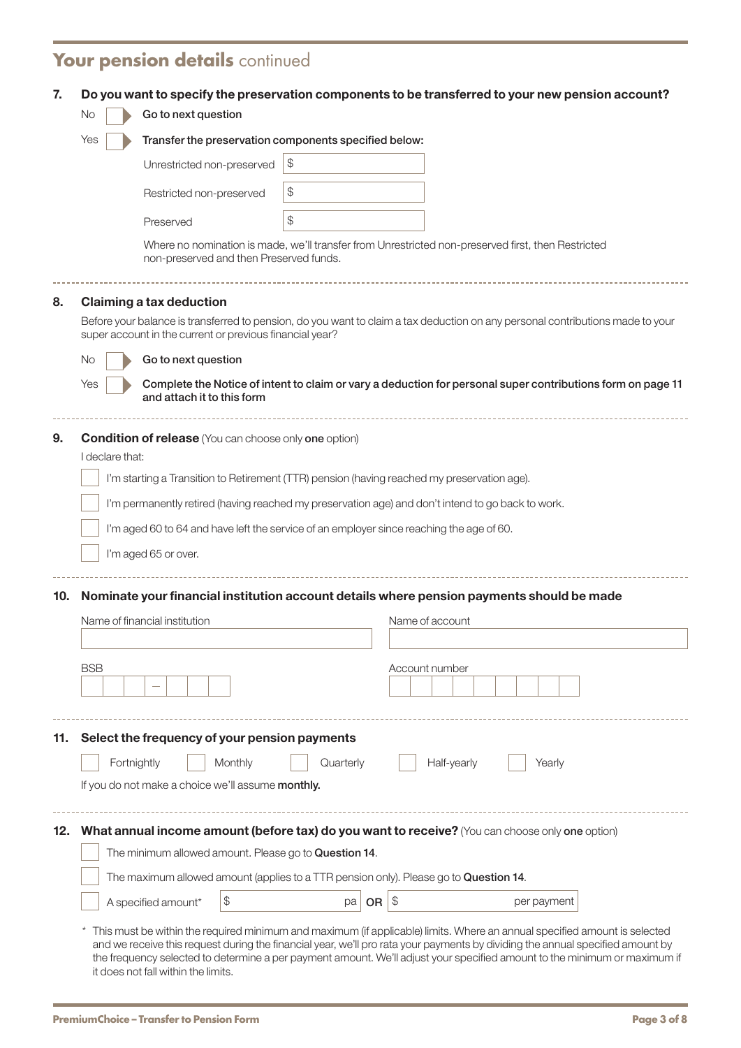## Your pension details continued

| 7.  | Do you want to specify the preservation components to be transferred to your new pension account? |                                                                                                                                                                                  |           |                                                                                                                                                                                                                                                                                                                                                                                                                                                                                                                                                                                                                          |  |  |  |  |
|-----|---------------------------------------------------------------------------------------------------|----------------------------------------------------------------------------------------------------------------------------------------------------------------------------------|-----------|--------------------------------------------------------------------------------------------------------------------------------------------------------------------------------------------------------------------------------------------------------------------------------------------------------------------------------------------------------------------------------------------------------------------------------------------------------------------------------------------------------------------------------------------------------------------------------------------------------------------------|--|--|--|--|
|     | No                                                                                                | Go to next question                                                                                                                                                              |           |                                                                                                                                                                                                                                                                                                                                                                                                                                                                                                                                                                                                                          |  |  |  |  |
|     | Yes                                                                                               | Transfer the preservation components specified below:                                                                                                                            |           |                                                                                                                                                                                                                                                                                                                                                                                                                                                                                                                                                                                                                          |  |  |  |  |
|     |                                                                                                   | Unrestricted non-preserved                                                                                                                                                       | \$        |                                                                                                                                                                                                                                                                                                                                                                                                                                                                                                                                                                                                                          |  |  |  |  |
|     |                                                                                                   | \$<br>Restricted non-preserved                                                                                                                                                   |           |                                                                                                                                                                                                                                                                                                                                                                                                                                                                                                                                                                                                                          |  |  |  |  |
|     |                                                                                                   | Preserved                                                                                                                                                                        | \$        |                                                                                                                                                                                                                                                                                                                                                                                                                                                                                                                                                                                                                          |  |  |  |  |
|     |                                                                                                   | non-preserved and then Preserved funds.                                                                                                                                          |           | Where no nomination is made, we'll transfer from Unrestricted non-preserved first, then Restricted                                                                                                                                                                                                                                                                                                                                                                                                                                                                                                                       |  |  |  |  |
| 8.  | No<br>Yes                                                                                         | <b>Claiming a tax deduction</b><br>super account in the current or previous financial year?<br>Go to next question                                                               |           | Before your balance is transferred to pension, do you want to claim a tax deduction on any personal contributions made to your<br>Complete the Notice of intent to claim or vary a deduction for personal super contributions form on page 11                                                                                                                                                                                                                                                                                                                                                                            |  |  |  |  |
|     |                                                                                                   | and attach it to this form                                                                                                                                                       |           |                                                                                                                                                                                                                                                                                                                                                                                                                                                                                                                                                                                                                          |  |  |  |  |
| 9.  | I declare that:                                                                                   | <b>Condition of release</b> (You can choose only one option)<br>I'm aged 60 to 64 and have left the service of an employer since reaching the age of 60.<br>I'm aged 65 or over. |           | I'm starting a Transition to Retirement (TTR) pension (having reached my preservation age).<br>I'm permanently retired (having reached my preservation age) and don't intend to go back to work.                                                                                                                                                                                                                                                                                                                                                                                                                         |  |  |  |  |
|     |                                                                                                   |                                                                                                                                                                                  |           |                                                                                                                                                                                                                                                                                                                                                                                                                                                                                                                                                                                                                          |  |  |  |  |
| 10. |                                                                                                   | Name of financial institution                                                                                                                                                    |           | Nominate your financial institution account details where pension payments should be made<br>Name of account                                                                                                                                                                                                                                                                                                                                                                                                                                                                                                             |  |  |  |  |
|     |                                                                                                   |                                                                                                                                                                                  |           |                                                                                                                                                                                                                                                                                                                                                                                                                                                                                                                                                                                                                          |  |  |  |  |
|     | <b>BSB</b>                                                                                        |                                                                                                                                                                                  |           | Account number                                                                                                                                                                                                                                                                                                                                                                                                                                                                                                                                                                                                           |  |  |  |  |
| 11. |                                                                                                   | Select the frequency of your pension payments                                                                                                                                    |           |                                                                                                                                                                                                                                                                                                                                                                                                                                                                                                                                                                                                                          |  |  |  |  |
|     | Fortnightly                                                                                       | Monthly<br>If you do not make a choice we'll assume monthly.                                                                                                                     | Quarterly | Half-yearly<br>Yearly                                                                                                                                                                                                                                                                                                                                                                                                                                                                                                                                                                                                    |  |  |  |  |
|     |                                                                                                   | The minimum allowed amount. Please go to Question 14.<br>\$<br>A specified amount*<br>it does not fall within the limits.                                                        | рa        | 12. What annual income amount (before tax) do you want to receive? (You can choose only one option)<br>The maximum allowed amount (applies to a TTR pension only). Please go to Question 14.<br>$\$\$<br>per payment<br>OR  <br>This must be within the required minimum and maximum (if applicable) limits. Where an annual specified amount is selected<br>and we receive this request during the financial year, we'll pro rata your payments by dividing the annual specified amount by<br>the frequency selected to determine a per payment amount. We'll adjust your specified amount to the minimum or maximum if |  |  |  |  |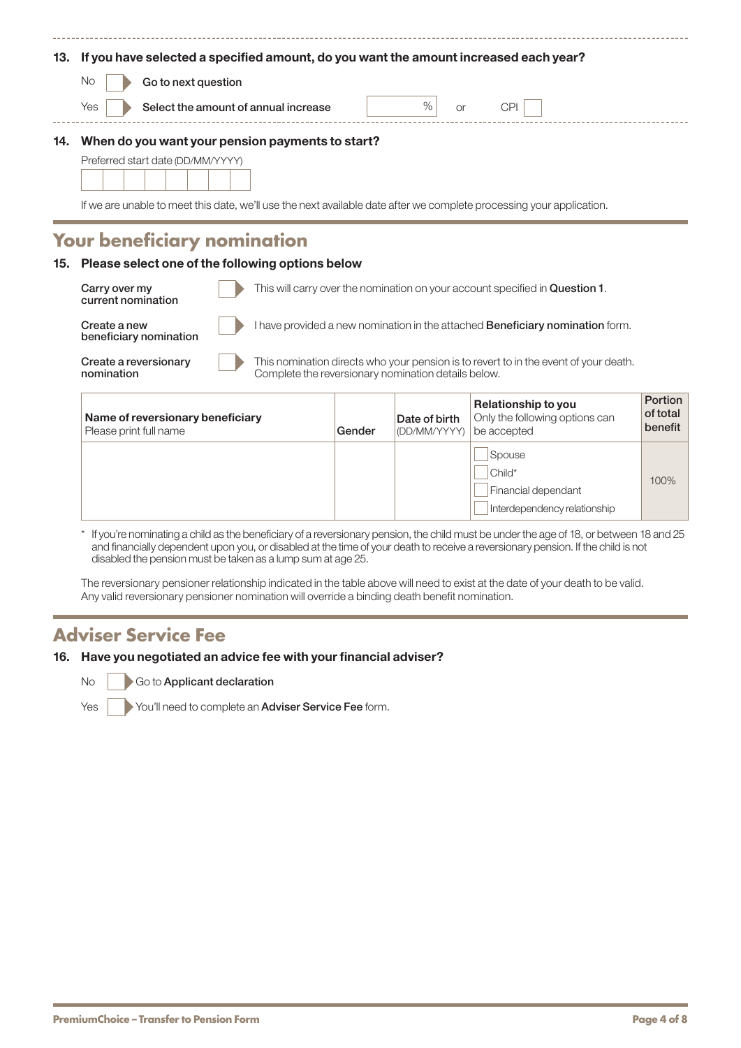| 13. | If you have selected a specified amount, do you want the amount increased each year?                                                                                               |                                      |  |                |                                                                                      |                                                                              |                     |  |  |  |
|-----|------------------------------------------------------------------------------------------------------------------------------------------------------------------------------------|--------------------------------------|--|----------------|--------------------------------------------------------------------------------------|------------------------------------------------------------------------------|---------------------|--|--|--|
|     | No<br>Go to next question                                                                                                                                                          |                                      |  |                |                                                                                      |                                                                              |                     |  |  |  |
|     | Yes                                                                                                                                                                                | Select the amount of annual increase |  | %<br><b>or</b> | <b>CPI</b>                                                                           |                                                                              |                     |  |  |  |
| 14. | When do you want your pension payments to start?<br>Preferred start date (DD/MM/YYYY)                                                                                              |                                      |  |                |                                                                                      |                                                                              |                     |  |  |  |
|     | If we are unable to meet this date, we'll use the next available date after we complete processing your application.                                                               |                                      |  |                |                                                                                      |                                                                              |                     |  |  |  |
|     | <b>Your beneficiary nomination</b>                                                                                                                                                 |                                      |  |                |                                                                                      |                                                                              |                     |  |  |  |
| 15. | Please select one of the following options below                                                                                                                                   |                                      |  |                |                                                                                      |                                                                              |                     |  |  |  |
|     | Carry over my<br>current nomination                                                                                                                                                |                                      |  |                |                                                                                      | This will carry over the nomination on your account specified in Question 1. |                     |  |  |  |
|     | Create a new<br>beneficiary nomination                                                                                                                                             |                                      |  |                | I have provided a new nomination in the attached <b>Beneficiary nomination</b> form. |                                                                              |                     |  |  |  |
|     | This nomination directs who your pension is to revert to in the event of your death.<br>Create a reversionary<br>nomination<br>Complete the reversionary nomination details below. |                                      |  |                |                                                                                      |                                                                              |                     |  |  |  |
|     | Name of reversions in beneficiary                                                                                                                                                  |                                      |  |                |                                                                                      | Relationship to you<br>Only the following options con                        | Portion<br>of total |  |  |  |

| Name of reversionary beneficiary<br>Please print full name | Gender | Date of birth<br>(DD/MM/YYYY) | <b>Relationship to you</b><br>Only the following options can<br>be accepted | Portion<br>of total<br>benefit |
|------------------------------------------------------------|--------|-------------------------------|-----------------------------------------------------------------------------|--------------------------------|
|                                                            |        |                               | Spouse<br>$Child^*$<br>Financial dependant<br>Interdependency relationship  | 100%                           |

\* If you're nominating a child as the beneficiary of a reversionary pension, the child must be under the age of 18, or between 18 and 25 and financially dependent upon you, or disabled at the time of your death to receive a reversionary pension. If the child is not disabled the pension must be taken as a lump sum at age 25.

The reversionary pensioner relationship indicated in the table above will need to exist at the date of your death to be valid. Any valid reversionary pensioner nomination will override a binding death benefit nomination.

## **Adviser Service Fee**

#### 16. Have you negotiated an advice fee with your financial adviser?

No Go to Applicant declaration

Yes You'll need to complete an **Adviser Service Fee** form.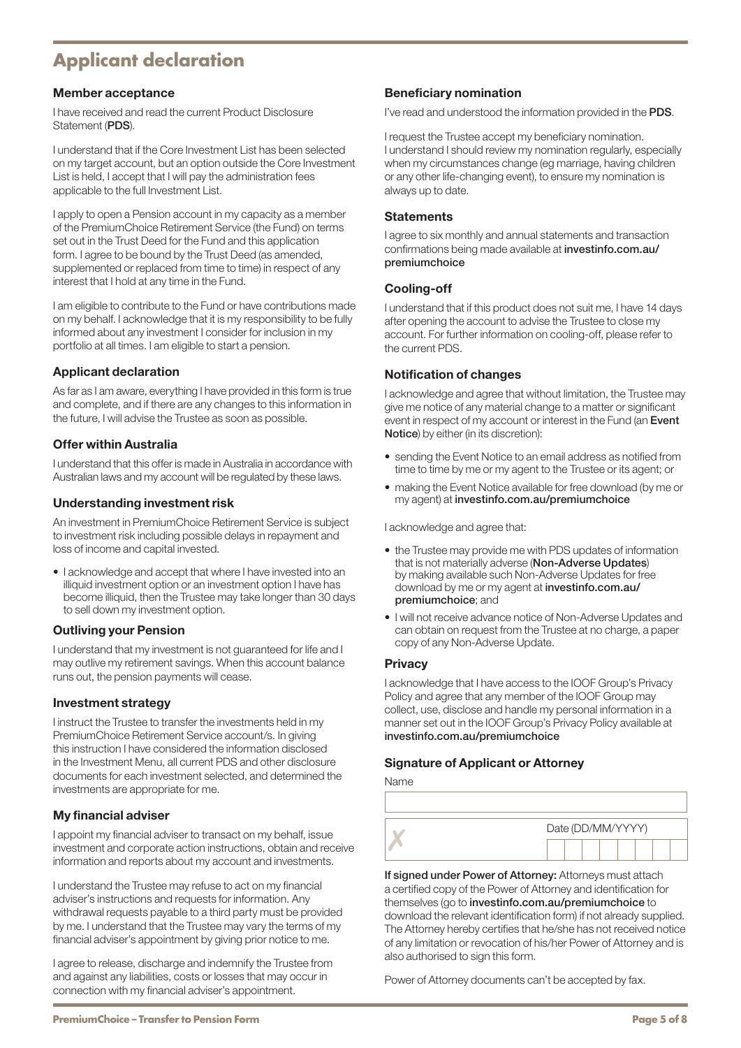## **Applicant declaration**

#### Member acceptance

I have received and read the current Product Disclosure Statement (PDS).

I understand that if the Core Investment List has been selected on my target account, but an option outside the Core Investment List is held, I accept that I will pay the administration fees applicable to the full Investment List.

I apply to open a Pension account in my capacity as a member of the PremiumChoice Retirement Service (the Fund) on terms set out in the Trust Deed for the Fund and this application form. I agree to be bound by the Trust Deed (as amended, supplemented or replaced from time to time) in respect of any interest that I hold at any time in the Fund.

I am eligible to contribute to the Fund or have contributions made on my behalf. I acknowledge that it is my responsibility to be fully informed about any investment I consider for inclusion in my portfolio at all times. I am eligible to start a pension.

#### Applicant declaration

As far as I am aware, everything I have provided in this form is true and complete, and if there are any changes to this information in the future, I will advise the Trustee as soon as possible.

#### Offer within Australia

I understand that this offer is made in Australia in accordance with Australian laws and my account will be regulated by these laws.

#### Understanding investment risk

An investment in PremiumChoice Retirement Service is subject to investment risk including possible delays in repayment and loss of income and capital invested.

• I acknowledge and accept that where I have invested into an illiquid investment option or an investment option I have has become illiquid, then the Trustee may take longer than 30 days to sell down my investment option.

#### Outliving your Pension

I understand that my investment is not guaranteed for life and I may outlive my retirement savings. When this account balance runs out, the pension payments will cease.

#### Investment strategy

I instruct the Trustee to transfer the investments held in my PremiumChoice Retirement Service account/s. In giving this instruction I have considered the information disclosed in the Investment Menu, all current PDS and other disclosure documents for each investment selected, and determined the investments are appropriate for me.

#### My financial adviser

I appoint my financial adviser to transact on my behalf, issue investment and corporate action instructions, obtain and receive information and reports about my account and investments.

I understand the Trustee may refuse to act on my financial adviser's instructions and requests for information. Any withdrawal requests payable to a third party must be provided by me. I understand that the Trustee may vary the terms of my financial adviser's appointment by giving prior notice to me.

I agree to release, discharge and indemnify the Trustee from and against any liabilities, costs or losses that may occur in connection with my financial adviser's appointment.

#### Beneficiary nomination

I've read and understood the information provided in the **PDS**.

I request the Trustee accept my beneficiary nomination. I understand I should review my nomination regularly, especially when my circumstances change (eg marriage, having children or any other life-changing event), to ensure my nomination is always up to date.

#### **Statements**

I agree to six monthly and annual statements and transaction confirmations being made available at [investinfo.com.au/](http://investinfo.com.au/premiumchoice) [premiumchoice](http://investinfo.com.au/premiumchoice)

#### Cooling-off

I understand that if this product does not suit me, I have 14 days after opening the account to advise the Trustee to close my account. For further information on cooling-off, please refer to the current PDS.

#### Notification of changes

I acknowledge and agree that without limitation, the Trustee may give me notice of any material change to a matter or significant event in respect of my account or interest in the Fund (an Event Notice) by either (in its discretion):

- sending the Event Notice to an email address as notified from time to time by me or my agent to the Trustee or its agent; or
- making the Event Notice available for free download (by me or my agent) at [investinfo.com.au/premiumchoice](http://investinfo.com.au/premiumchoice)

I acknowledge and agree that:

- the Trustee may provide me with PDS updates of information that is not materially adverse (Non-Adverse Updates) by making available such Non-Adverse Updates for free download by me or my agent at [investinfo.com.au/](http://investinfo.com.au/premiumchoice) [premiumchoice](http://investinfo.com.au/premiumchoice); and
- I will not receive advance notice of Non-Adverse Updates and can obtain on request from the Trustee at no charge, a paper copy of any Non-Adverse Update.

#### **Privacy**

I acknowledge that I have access to the IOOF Group's Privacy Policy and agree that any member of the IOOF Group may collect, use, disclose and handle my personal information in a manner set out in the IOOF Group's Privacy Policy available at [investinfo.com.au/premiumchoice](http://investinfo.com.au/premiumchoice)

#### Signature of Applicant or Attorney

Name

| Date (DD/MM/YYYY) |  |  |  |  |  |  |  |
|-------------------|--|--|--|--|--|--|--|
|                   |  |  |  |  |  |  |  |

If signed under Power of Attorney: Attorneys must attach a certified copy of the Power of Attorney and identification for themselves (go to [investinfo.com.au/premiumchoice](http://investinfo.com.au/premiumchoice) to download the relevant identification form) if not already supplied. The Attorney hereby certifies that he/she has not received notice of any limitation or revocation of his/her Power of Attorney and is also authorised to sign this form.

Power of Attorney documents can't be accepted by fax.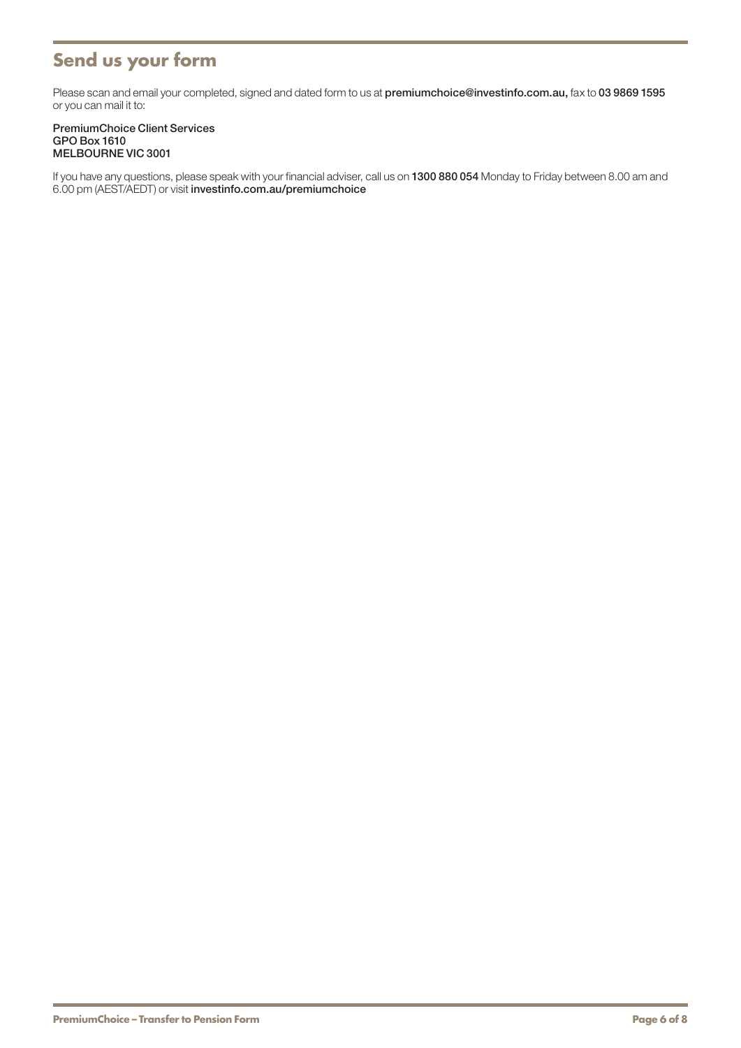## **Send us your form**

Please scan and email your completed, signed and dated form to us at [premiumchoice@investinfo.com.au](mailto:premiumchoice@investinfo.com.au), fax to 03 9869 1595 or you can mail it to:

#### PremiumChoice Client Services GPO Box 1610 MELBOURNE VIC 3001

If you have any questions, please speak with your financial adviser, call us on 1300 880 054 Monday to Friday between 8.00 am and 6.00 pm (AEST/AEDT) or visit [investinfo.com.au/premiumchoice](http://investinfo.com.au/premiumchoice)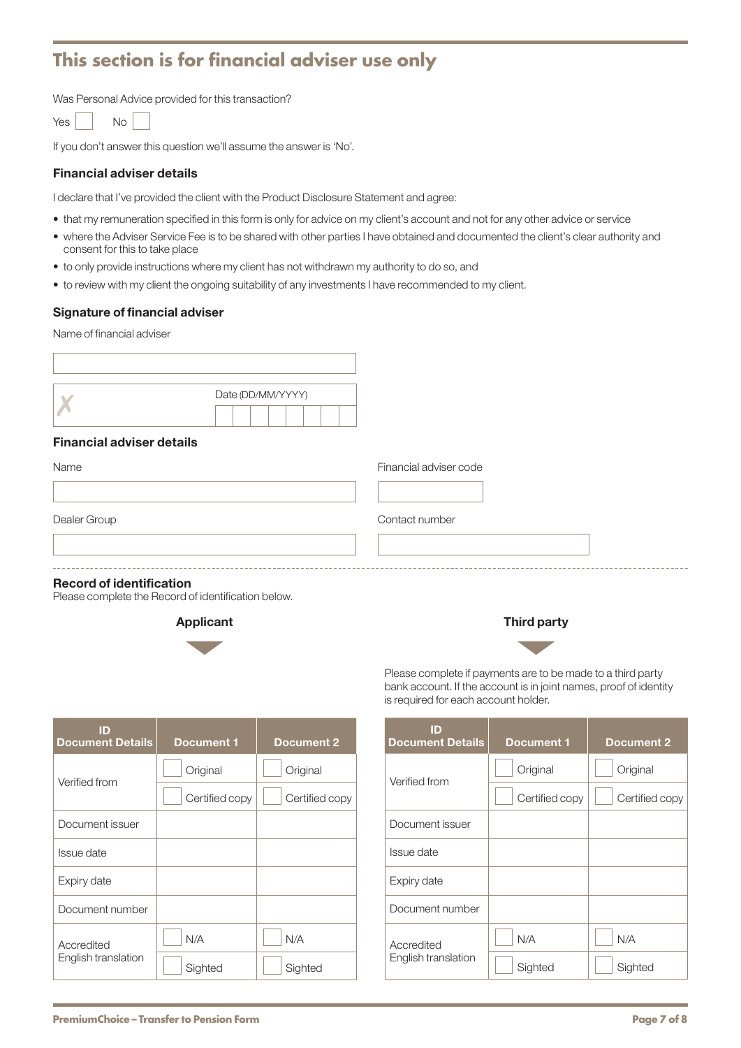## **This section is for financial adviser use only**

Was Personal Advice provided for this transaction?

| Yes |  | Νo |  |
|-----|--|----|--|
|-----|--|----|--|

If you don't answer this question we'll assume the answer is 'No'.

#### Financial adviser details

I declare that I've provided the client with the Product Disclosure Statement and agree:

- that my remuneration specified in this form is only for advice on my client's account and not for any other advice or service
- where the Adviser Service Fee is to be shared with other parties I have obtained and documented the client's clear authority and consent for this to take place
- to only provide instructions where my client has not withdrawn my authority to do so, and
- to review with my client the ongoing suitability of any investments I have recommended to my client.

#### Signature of financial adviser

Name of financial adviser

| Date (DD/MM/YYYY) |
|-------------------|
|                   |

#### Financial adviser details

| Name         | Financial adviser code |
|--------------|------------------------|
|              |                        |
| Dealer Group | Contact number         |
|              |                        |
|              |                        |

#### Record of identification

Please complete the Record of identification below.

Applicant



Please complete if payments are to be made to a third party bank account. If the account is in joint names, proof of identity is required for each account holder.

| סו<br><b>Document Details</b> | <b>Document 1</b> | <b>Document 2</b> |
|-------------------------------|-------------------|-------------------|
| Verified from                 | Original          | Original          |
|                               | Certified copy    | Certified copy    |
| Document issuer               |                   |                   |
| Issue date                    |                   |                   |
| Expiry date                   |                   |                   |
| Document number               |                   |                   |
| Accredited                    | N/A               | N/A               |
| English translation           | Sighted           | Sighted           |

| ID<br><b>Document Details</b> | <b>Document 1</b> | <b>Document 2</b> |
|-------------------------------|-------------------|-------------------|
| Verified from                 | Original          | Original          |
|                               | Certified copy    | Certified copy    |
| Document issuer               |                   |                   |
| Issue date                    |                   |                   |
| Expiry date                   |                   |                   |
| Document number               |                   |                   |
| Accredited                    | N/A               | N/A               |
| English translation           | Sighted           | Sighted           |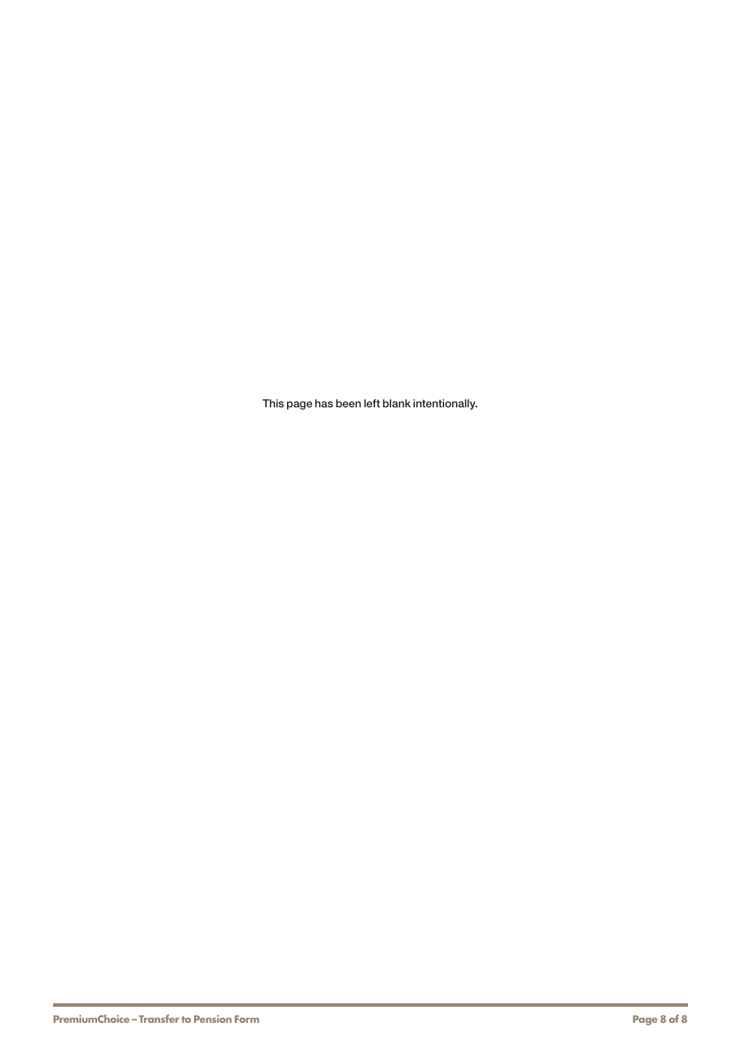This page has been left blank intentionally.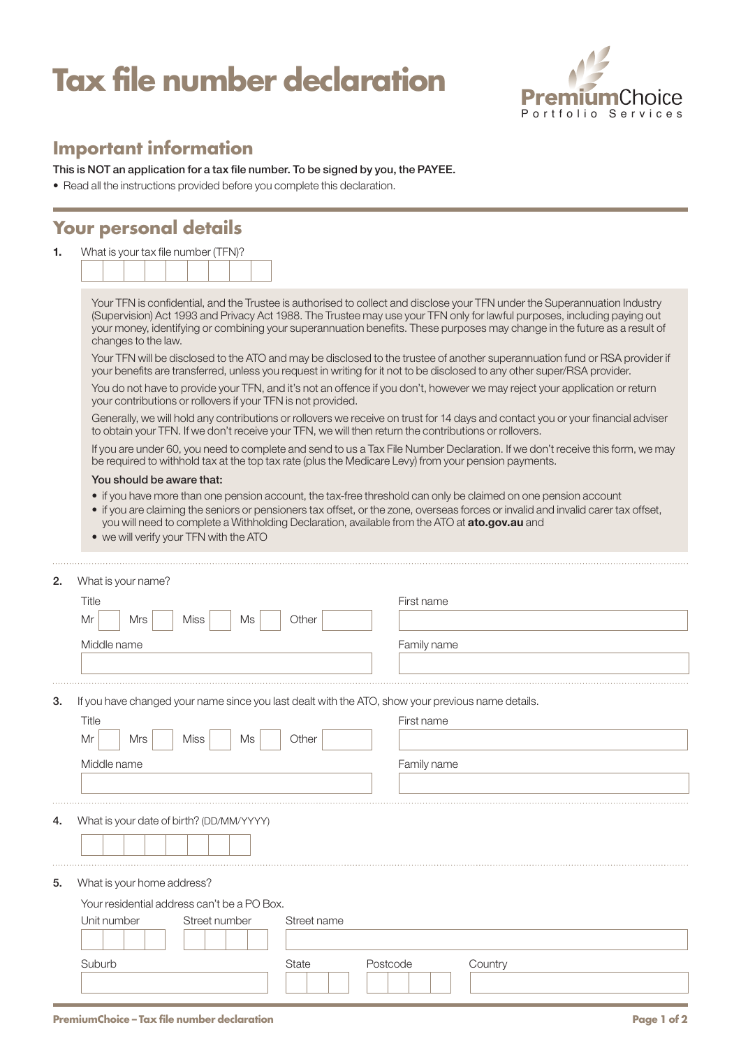## **Tax file number declaration**



## **Important information**

#### This is NOT an application for a tax file number. To be signed by you, the PAYEE.

• Read all the instructions provided before you complete this declaration.

## **Your personal details**



Your TFN is confidential, and the Trustee is authorised to collect and disclose your TFN under the Superannuation Industry (Supervision) Act 1993 and Privacy Act 1988. The Trustee may use your TFN only for lawful purposes, including paying out your money, identifying or combining your superannuation benefits. These purposes may change in the future as a result of changes to the law.

Your TFN will be disclosed to the ATO and may be disclosed to the trustee of another superannuation fund or RSA provider if your benefits are transferred, unless you request in writing for it not to be disclosed to any other super/RSA provider.

You do not have to provide your TFN, and it's not an offence if you don't, however we may reject your application or return your contributions or rollovers if your TFN is not provided.

Generally, we will hold any contributions or rollovers we receive on trust for 14 days and contact you or your financial adviser to obtain your TFN. If we don't receive your TFN, we will then return the contributions or rollovers.

If you are under 60, you need to complete and send to us a Tax File Number Declaration. If we don't receive this form, we may be required to withhold tax at the top tax rate (plus the Medicare Levy) from your pension payments.

#### You should be aware that:

- if you have more than one pension account, the tax-free threshold can only be claimed on one pension account
- if you are claiming the seniors or pensioners tax offset, or the zone, overseas forces or invalid and invalid carer tax offset, you will need to complete a Withholding Declaration, available from the ATO at ato.gov.au and
- we will verify your TFN with the ATO

#### 2. What is your name?

|    | $\frac{1}{2}$                                                                                     |             |             |         |  |  |
|----|---------------------------------------------------------------------------------------------------|-------------|-------------|---------|--|--|
|    | Title                                                                                             |             | First name  |         |  |  |
|    | Miss<br>Mr<br><b>Mrs</b><br>Ms                                                                    | Other       |             |         |  |  |
|    | Middle name                                                                                       |             | Family name |         |  |  |
|    |                                                                                                   |             |             |         |  |  |
| 3. | If you have changed your name since you last dealt with the ATO, show your previous name details. |             |             |         |  |  |
|    | Title                                                                                             |             | First name  |         |  |  |
|    | Mr<br><b>Miss</b><br><b>Mrs</b><br>Ms                                                             | Other       |             |         |  |  |
|    | Middle name                                                                                       |             | Family name |         |  |  |
|    |                                                                                                   |             |             |         |  |  |
|    |                                                                                                   |             |             |         |  |  |
| 4. | What is your date of birth? (DD/MM/YYYY)                                                          |             |             |         |  |  |
|    |                                                                                                   |             |             |         |  |  |
|    |                                                                                                   |             |             |         |  |  |
| 5. | What is your home address?                                                                        |             |             |         |  |  |
|    | Your residential address can't be a PO Box.                                                       |             |             |         |  |  |
|    | Unit number<br>Street number                                                                      | Street name |             |         |  |  |
|    |                                                                                                   |             |             |         |  |  |
|    | Suburb                                                                                            | State       | Postcode    | Country |  |  |
|    |                                                                                                   |             |             |         |  |  |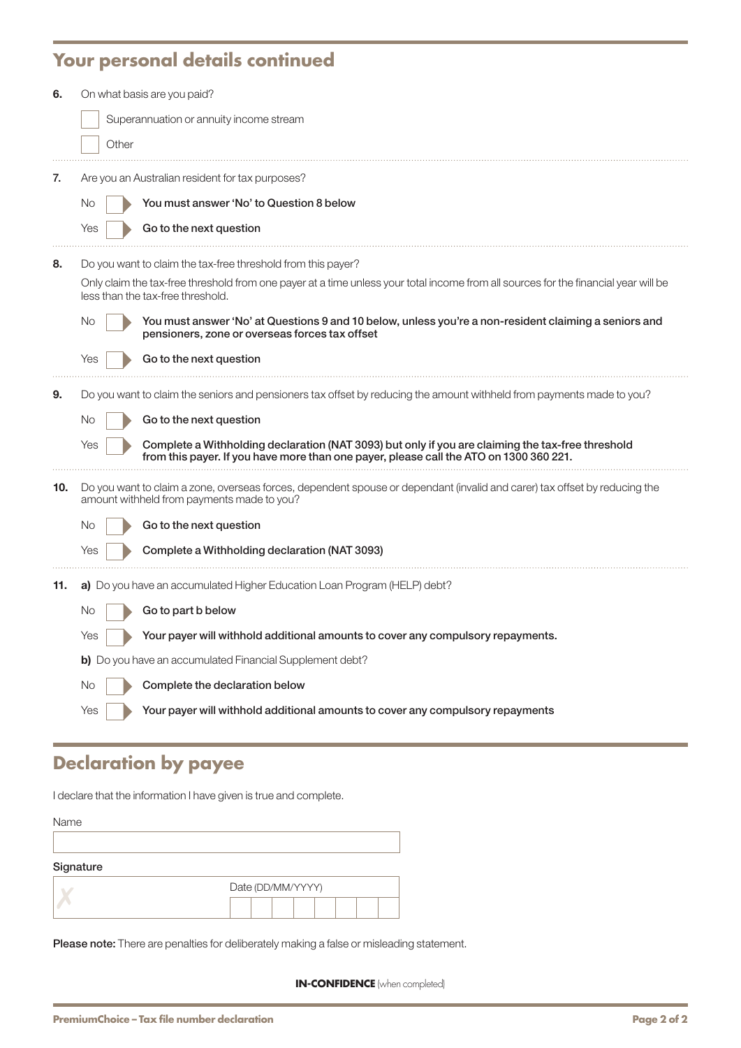## **Your personal details continued**

| On what basis are you paid?<br>6.                                                                                           |                                                                                                                                                                                                    |  |  |  |
|-----------------------------------------------------------------------------------------------------------------------------|----------------------------------------------------------------------------------------------------------------------------------------------------------------------------------------------------|--|--|--|
|                                                                                                                             | Superannuation or annuity income stream                                                                                                                                                            |  |  |  |
|                                                                                                                             | Other                                                                                                                                                                                              |  |  |  |
| 7.                                                                                                                          | Are you an Australian resident for tax purposes?                                                                                                                                                   |  |  |  |
|                                                                                                                             | You must answer 'No' to Question 8 below<br>No                                                                                                                                                     |  |  |  |
|                                                                                                                             | Go to the next question<br>Yes                                                                                                                                                                     |  |  |  |
| 8.                                                                                                                          | Do you want to claim the tax-free threshold from this payer?                                                                                                                                       |  |  |  |
|                                                                                                                             | Only claim the tax-free threshold from one payer at a time unless your total income from all sources for the financial year will be<br>less than the tax-free threshold.                           |  |  |  |
|                                                                                                                             | You must answer 'No' at Questions 9 and 10 below, unless you're a non-resident claiming a seniors and<br>No<br>pensioners, zone or overseas forces tax offset                                      |  |  |  |
|                                                                                                                             | Go to the next question<br>Yes                                                                                                                                                                     |  |  |  |
| Do you want to claim the seniors and pensioners tax offset by reducing the amount withheld from payments made to you?<br>9. |                                                                                                                                                                                                    |  |  |  |
|                                                                                                                             | Go to the next question<br>No                                                                                                                                                                      |  |  |  |
|                                                                                                                             | Complete a Withholding declaration (NAT 3093) but only if you are claiming the tax-free threshold<br>Yes<br>from this payer. If you have more than one payer, please call the ATO on 1300 360 221. |  |  |  |
| 10.                                                                                                                         | Do you want to claim a zone, overseas forces, dependent spouse or dependant (invalid and carer) tax offset by reducing the<br>amount withheld from payments made to you?                           |  |  |  |
|                                                                                                                             | No<br>Go to the next question                                                                                                                                                                      |  |  |  |
|                                                                                                                             | Yes<br>Complete a Withholding declaration (NAT 3093)                                                                                                                                               |  |  |  |
| 11.                                                                                                                         | a) Do you have an accumulated Higher Education Loan Program (HELP) debt?                                                                                                                           |  |  |  |
|                                                                                                                             | Go to part b below<br>No                                                                                                                                                                           |  |  |  |
|                                                                                                                             | Your payer will withhold additional amounts to cover any compulsory repayments.<br>Yes                                                                                                             |  |  |  |
|                                                                                                                             | b) Do you have an accumulated Financial Supplement debt?                                                                                                                                           |  |  |  |
|                                                                                                                             | Complete the declaration below<br>No                                                                                                                                                               |  |  |  |
|                                                                                                                             | Your payer will withhold additional amounts to cover any compulsory repayments<br>Yes                                                                                                              |  |  |  |

## **Declaration by payee**

I declare that the information I have given is true and complete.

| Name      |                   |
|-----------|-------------------|
| Signature |                   |
|           | Date (DD/MM/YYYY) |
| Χ         |                   |

Please note: There are penalties for deliberately making a false or misleading statement.

**IN-CONFIDENCE** (when completed)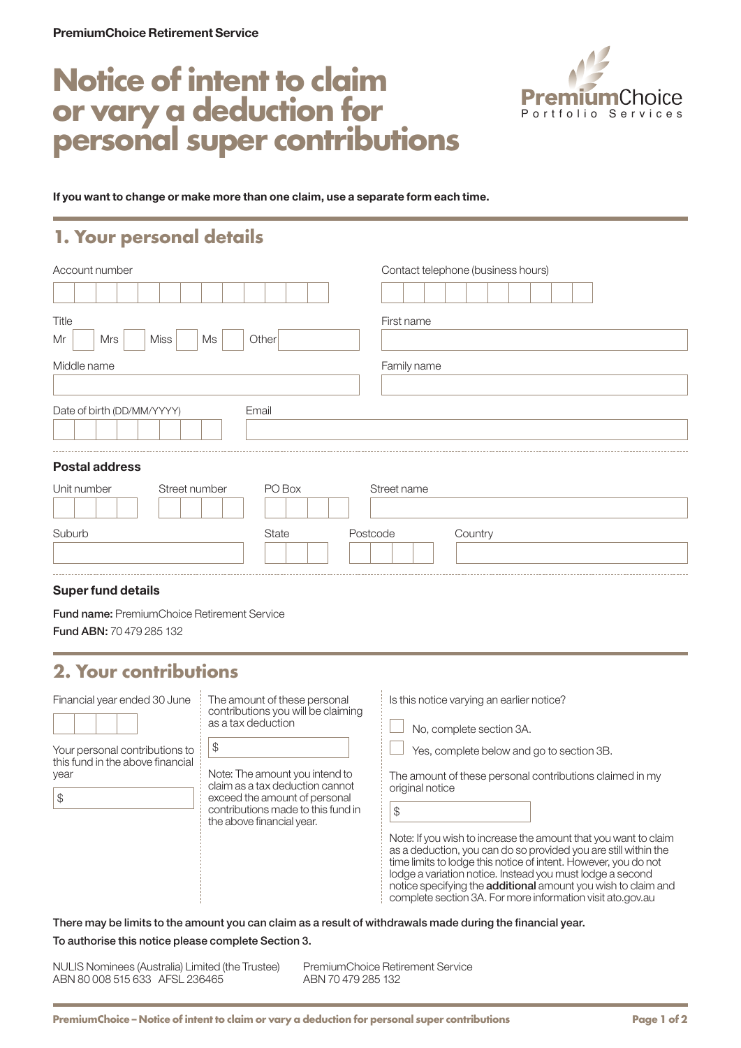# **Notice of intent to claim or vary a deduction for personal super contributions**



If you want to change or make more than one claim, use a separate form each time.

## **1. Your personal details**

| Account number                                     |                   | Contact telephone (business hours) |
|----------------------------------------------------|-------------------|------------------------------------|
|                                                    |                   |                                    |
| Title                                              |                   | First name                         |
| Miss<br>Mr<br>Mrs<br>Ms                            | Other             |                                    |
| Middle name                                        |                   | Family name                        |
| Date of birth (DD/MM/YYYY)                         | Email             |                                    |
| <b>Postal address</b>                              |                   |                                    |
| Street number<br>Unit number                       | PO Box            | Street name                        |
| Suburb                                             | State<br>Postcode | Country                            |
| <b>Super fund details</b>                          |                   |                                    |
| <b>Fund name: PremiumChoice Retirement Service</b> |                   |                                    |
| <b>Fund ABN: 70 479 285 132</b>                    |                   |                                    |

## **2. Your contributions**

| Financial year ended 30 June<br>Your personal contributions to<br>this fund in the above financial<br>year<br>\$ | The amount of these personal<br>contributions you will be claiming<br>as a tax deduction<br>\$<br>Note: The amount you intend to<br>claim as a tax deduction cannot<br>exceed the amount of personal<br>contributions made to this fund in<br>the above financial year. | Is this notice varying an earlier notice?<br>No, complete section 3A.<br>Yes, complete below and go to section 3B.<br>The amount of these personal contributions claimed in my<br>original notice<br>\$<br>Note: If you wish to increase the amount that you want to claim<br>as a deduction, you can do so provided you are still within the<br>time limits to lodge this notice of intent. However, you do not<br>lodge a variation notice. Instead you must lodge a second<br>notice specifying the <b>additional</b> amount you wish to claim and<br>complete section 3A. For more information visit ato.gov.au |
|------------------------------------------------------------------------------------------------------------------|-------------------------------------------------------------------------------------------------------------------------------------------------------------------------------------------------------------------------------------------------------------------------|---------------------------------------------------------------------------------------------------------------------------------------------------------------------------------------------------------------------------------------------------------------------------------------------------------------------------------------------------------------------------------------------------------------------------------------------------------------------------------------------------------------------------------------------------------------------------------------------------------------------|
|------------------------------------------------------------------------------------------------------------------|-------------------------------------------------------------------------------------------------------------------------------------------------------------------------------------------------------------------------------------------------------------------------|---------------------------------------------------------------------------------------------------------------------------------------------------------------------------------------------------------------------------------------------------------------------------------------------------------------------------------------------------------------------------------------------------------------------------------------------------------------------------------------------------------------------------------------------------------------------------------------------------------------------|

There may be limits to the amount you can claim as a result of withdrawals made during the financial year.

#### To authorise this notice please complete Section 3.

| NULIS Nominees (Australia) Limited (the Trustee) | PremiumChoice Retirement Service |
|--------------------------------------------------|----------------------------------|
| ABN 80 008 515 633 AFSL 236465                   | ABN 70 479 285 132               |